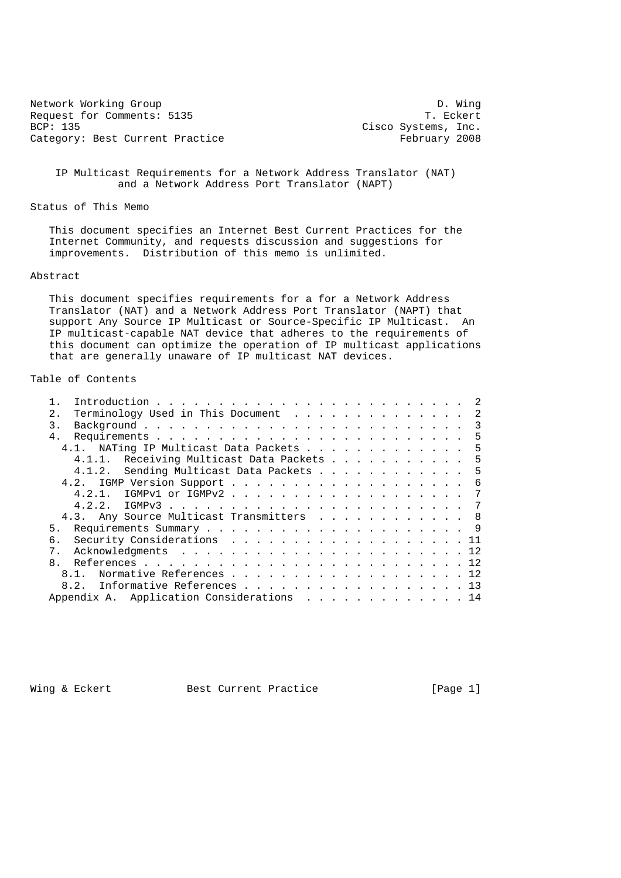| Network Working Group           |                     | D. Winq |
|---------------------------------|---------------------|---------|
| Request for Comments: 5135      | T. Eckert           |         |
| BCP: 135                        | Cisco Systems, Inc. |         |
| Category: Best Current Practice | February 2008       |         |

 IP Multicast Requirements for a Network Address Translator (NAT) and a Network Address Port Translator (NAPT)

Status of This Memo

 This document specifies an Internet Best Current Practices for the Internet Community, and requests discussion and suggestions for improvements. Distribution of this memo is unlimited.

#### Abstract

 This document specifies requirements for a for a Network Address Translator (NAT) and a Network Address Port Translator (NAPT) that support Any Source IP Multicast or Source-Specific IP Multicast. An IP multicast-capable NAT device that adheres to the requirements of this document can optimize the operation of IP multicast applications that are generally unaware of IP multicast NAT devices.

# Table of Contents

| Terminology Used in This Document 2<br>2.1 |  |  |  |  |  |  |
|--------------------------------------------|--|--|--|--|--|--|
| 3.                                         |  |  |  |  |  |  |
| $4$ .                                      |  |  |  |  |  |  |
| 4.1. NATing IP Multicast Data Packets 5    |  |  |  |  |  |  |
| 4.1.1. Receiving Multicast Data Packets 5  |  |  |  |  |  |  |
| 4.1.2. Sending Multicast Data Packets 5    |  |  |  |  |  |  |
|                                            |  |  |  |  |  |  |
| 4.2.1. IGMPv1 or IGMPv2 7                  |  |  |  |  |  |  |
|                                            |  |  |  |  |  |  |
| 4.3. Any Source Multicast Transmitters 8   |  |  |  |  |  |  |
| 5 <sub>1</sub>                             |  |  |  |  |  |  |
| Security Considerations 11<br>რ.           |  |  |  |  |  |  |
| $7$ .                                      |  |  |  |  |  |  |
| 8.                                         |  |  |  |  |  |  |
| Normative References 12<br>$8.1$ .         |  |  |  |  |  |  |
| 8.2. Informative References 13             |  |  |  |  |  |  |
| Appendix A. Application Considerations 14  |  |  |  |  |  |  |

Wing & Eckert **Best Current Practice** [Page 1]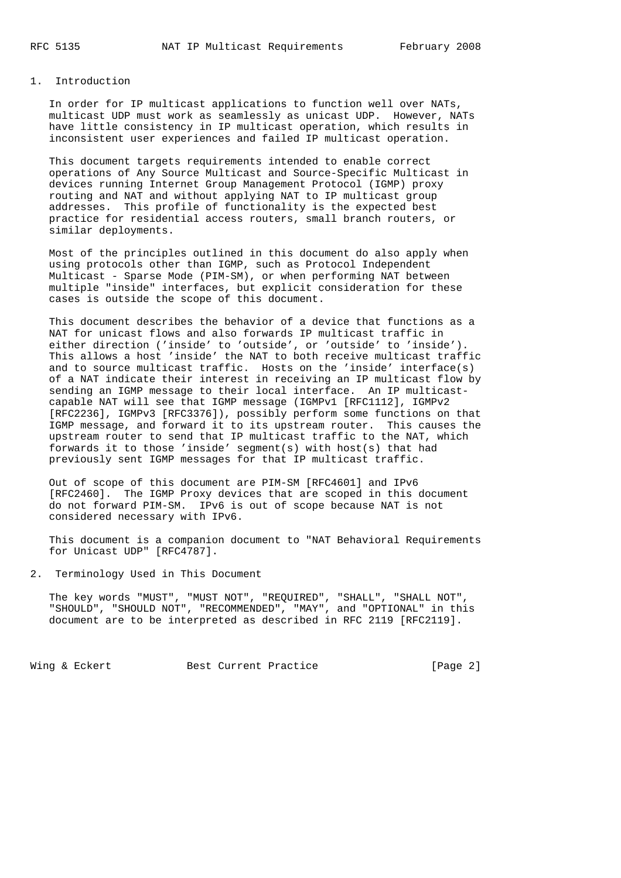### 1. Introduction

 In order for IP multicast applications to function well over NATs, multicast UDP must work as seamlessly as unicast UDP. However, NATs have little consistency in IP multicast operation, which results in inconsistent user experiences and failed IP multicast operation.

 This document targets requirements intended to enable correct operations of Any Source Multicast and Source-Specific Multicast in devices running Internet Group Management Protocol (IGMP) proxy routing and NAT and without applying NAT to IP multicast group addresses. This profile of functionality is the expected best practice for residential access routers, small branch routers, or similar deployments.

 Most of the principles outlined in this document do also apply when using protocols other than IGMP, such as Protocol Independent Multicast - Sparse Mode (PIM-SM), or when performing NAT between multiple "inside" interfaces, but explicit consideration for these cases is outside the scope of this document.

 This document describes the behavior of a device that functions as a NAT for unicast flows and also forwards IP multicast traffic in either direction ('inside' to 'outside', or 'outside' to 'inside'). This allows a host 'inside' the NAT to both receive multicast traffic and to source multicast traffic. Hosts on the 'inside' interface(s) of a NAT indicate their interest in receiving an IP multicast flow by sending an IGMP message to their local interface. An IP multicast capable NAT will see that IGMP message (IGMPv1 [RFC1112], IGMPv2 [RFC2236], IGMPv3 [RFC3376]), possibly perform some functions on that IGMP message, and forward it to its upstream router. This causes the upstream router to send that IP multicast traffic to the NAT, which forwards it to those 'inside' segment(s) with host(s) that had previously sent IGMP messages for that IP multicast traffic.

 Out of scope of this document are PIM-SM [RFC4601] and IPv6 [RFC2460]. The IGMP Proxy devices that are scoped in this document do not forward PIM-SM. IPv6 is out of scope because NAT is not considered necessary with IPv6.

 This document is a companion document to "NAT Behavioral Requirements for Unicast UDP" [RFC4787].

2. Terminology Used in This Document

 The key words "MUST", "MUST NOT", "REQUIRED", "SHALL", "SHALL NOT", "SHOULD", "SHOULD NOT", "RECOMMENDED", "MAY", and "OPTIONAL" in this document are to be interpreted as described in RFC 2119 [RFC2119].

Wing & Eckert **Best Current Practice** [Page 2]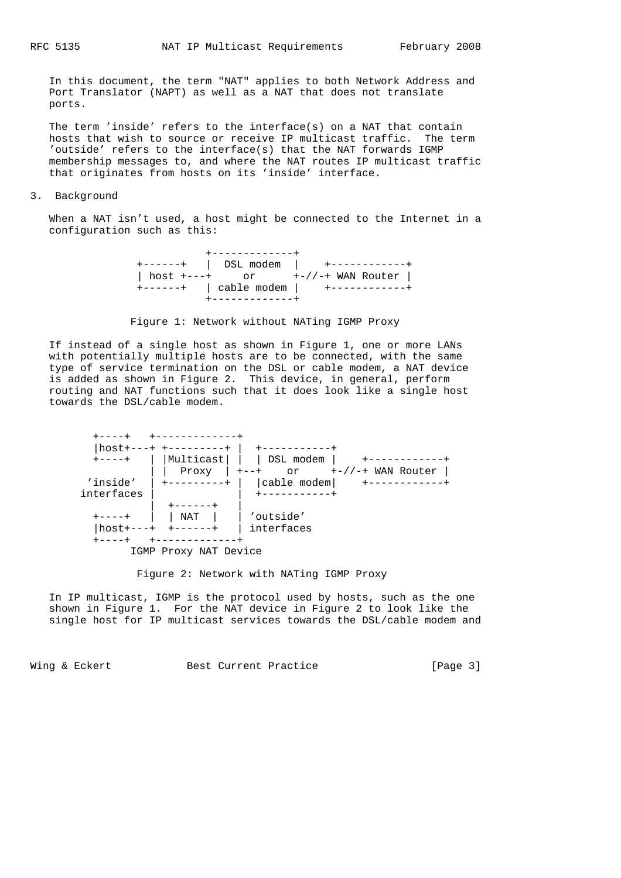In this document, the term "NAT" applies to both Network Address and Port Translator (NAPT) as well as a NAT that does not translate ports.

 The term 'inside' refers to the interface(s) on a NAT that contain hosts that wish to source or receive IP multicast traffic. The term 'outside' refers to the interface(s) that the NAT forwards IGMP membership messages to, and where the NAT routes IP multicast traffic that originates from hosts on its 'inside' interface.

#### 3. Background

 When a NAT isn't used, a host might be connected to the Internet in a configuration such as this:

 +-------------+ +------+ | DSL modem | +------------+ | host +---+ or +-//-+ WAN Router | +------+ | cable modem | +------------+ +-------------+

Figure 1: Network without NATing IGMP Proxy

 If instead of a single host as shown in Figure 1, one or more LANs with potentially multiple hosts are to be connected, with the same type of service termination on the DSL or cable modem, a NAT device is added as shown in Figure 2. This device, in general, perform routing and NAT functions such that it does look like a single host towards the DSL/cable modem.



Figure 2: Network with NATing IGMP Proxy

 In IP multicast, IGMP is the protocol used by hosts, such as the one shown in Figure 1. For the NAT device in Figure 2 to look like the single host for IP multicast services towards the DSL/cable modem and

Wing & Eckert **Best Current Practice** [Page 3]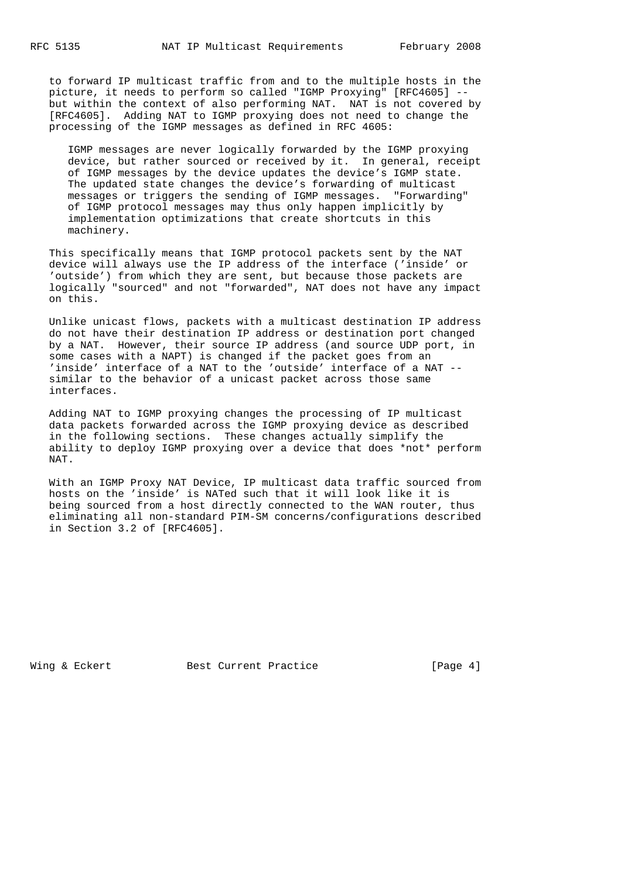to forward IP multicast traffic from and to the multiple hosts in the picture, it needs to perform so called "IGMP Proxying" [RFC4605] - but within the context of also performing NAT. NAT is not covered by [RFC4605]. Adding NAT to IGMP proxying does not need to change the processing of the IGMP messages as defined in RFC 4605:

 IGMP messages are never logically forwarded by the IGMP proxying device, but rather sourced or received by it. In general, receipt of IGMP messages by the device updates the device's IGMP state. The updated state changes the device's forwarding of multicast messages or triggers the sending of IGMP messages. "Forwarding" of IGMP protocol messages may thus only happen implicitly by implementation optimizations that create shortcuts in this machinery.

 This specifically means that IGMP protocol packets sent by the NAT device will always use the IP address of the interface ('inside' or 'outside') from which they are sent, but because those packets are logically "sourced" and not "forwarded", NAT does not have any impact on this.

 Unlike unicast flows, packets with a multicast destination IP address do not have their destination IP address or destination port changed by a NAT. However, their source IP address (and source UDP port, in some cases with a NAPT) is changed if the packet goes from an 'inside' interface of a NAT to the 'outside' interface of a NAT - similar to the behavior of a unicast packet across those same interfaces.

 Adding NAT to IGMP proxying changes the processing of IP multicast data packets forwarded across the IGMP proxying device as described in the following sections. These changes actually simplify the ability to deploy IGMP proxying over a device that does \*not\* perform NAT.

 With an IGMP Proxy NAT Device, IP multicast data traffic sourced from hosts on the 'inside' is NATed such that it will look like it is being sourced from a host directly connected to the WAN router, thus eliminating all non-standard PIM-SM concerns/configurations described in Section 3.2 of [RFC4605].

Wing & Eckert Best Current Practice [Page 4]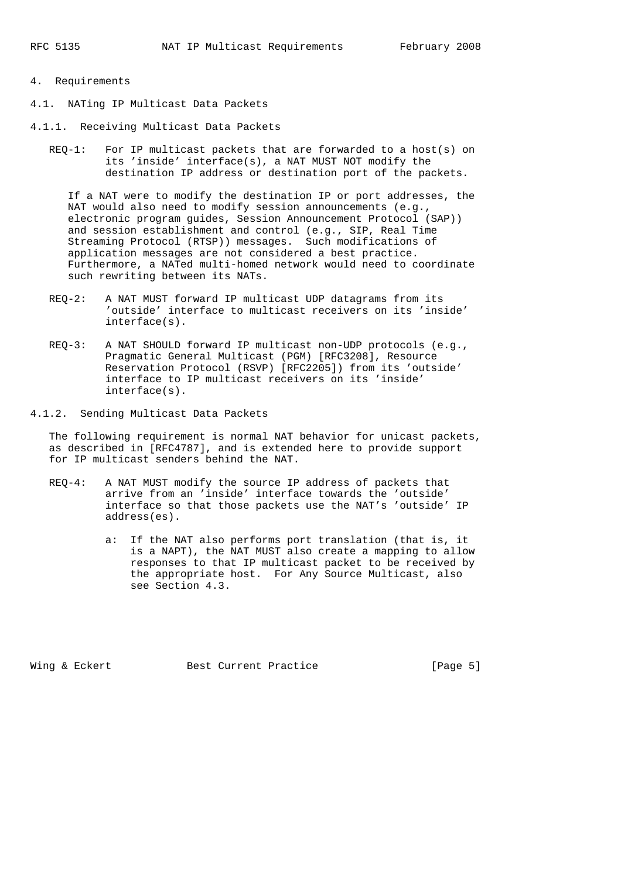# 4. Requirements

- 4.1. NATing IP Multicast Data Packets
- 4.1.1. Receiving Multicast Data Packets
	- REQ-1: For IP multicast packets that are forwarded to a host(s) on its 'inside' interface(s), a NAT MUST NOT modify the destination IP address or destination port of the packets.

 If a NAT were to modify the destination IP or port addresses, the NAT would also need to modify session announcements (e.g., electronic program guides, Session Announcement Protocol (SAP)) and session establishment and control (e.g., SIP, Real Time Streaming Protocol (RTSP)) messages. Such modifications of application messages are not considered a best practice. Furthermore, a NATed multi-homed network would need to coordinate such rewriting between its NATs.

- REQ-2: A NAT MUST forward IP multicast UDP datagrams from its 'outside' interface to multicast receivers on its 'inside' interface(s).
- REQ-3: A NAT SHOULD forward IP multicast non-UDP protocols (e.g., Pragmatic General Multicast (PGM) [RFC3208], Resource Reservation Protocol (RSVP) [RFC2205]) from its 'outside' interface to IP multicast receivers on its 'inside' interface(s).

4.1.2. Sending Multicast Data Packets

 The following requirement is normal NAT behavior for unicast packets, as described in [RFC4787], and is extended here to provide support for IP multicast senders behind the NAT.

- REQ-4: A NAT MUST modify the source IP address of packets that arrive from an 'inside' interface towards the 'outside' interface so that those packets use the NAT's 'outside' IP address(es).
	- a: If the NAT also performs port translation (that is, it is a NAPT), the NAT MUST also create a mapping to allow responses to that IP multicast packet to be received by the appropriate host. For Any Source Multicast, also see Section 4.3.

Wing & Eckert **Best Current Practice** [Page 5]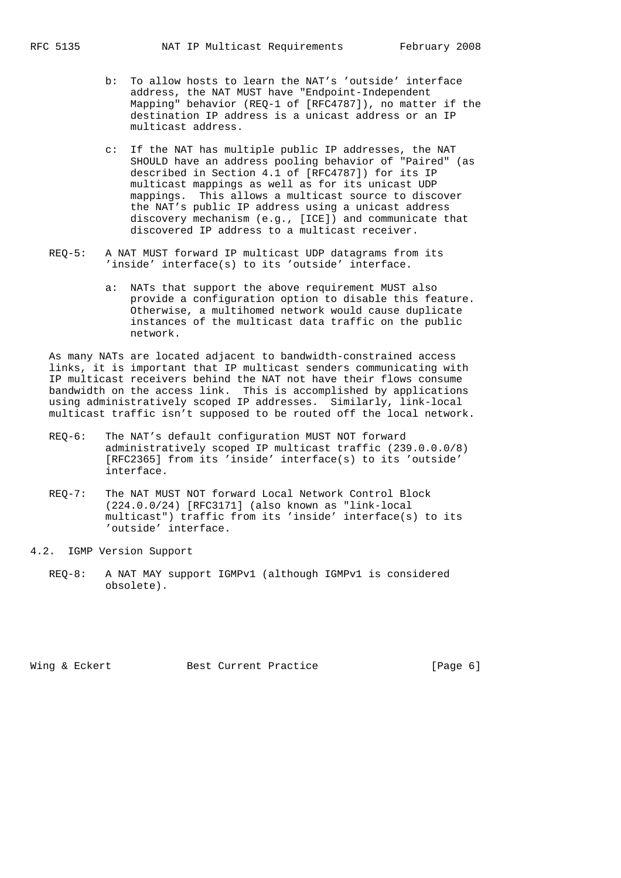- b: To allow hosts to learn the NAT's 'outside' interface address, the NAT MUST have "Endpoint-Independent Mapping" behavior (REQ-1 of [RFC4787]), no matter if the destination IP address is a unicast address or an IP multicast address.
- c: If the NAT has multiple public IP addresses, the NAT SHOULD have an address pooling behavior of "Paired" (as described in Section 4.1 of [RFC4787]) for its IP multicast mappings as well as for its unicast UDP mappings. This allows a multicast source to discover the NAT's public IP address using a unicast address discovery mechanism (e.g., [ICE]) and communicate that discovered IP address to a multicast receiver.
- REQ-5: A NAT MUST forward IP multicast UDP datagrams from its 'inside' interface(s) to its 'outside' interface.
	- a: NATs that support the above requirement MUST also provide a configuration option to disable this feature. Otherwise, a multihomed network would cause duplicate instances of the multicast data traffic on the public network.

 As many NATs are located adjacent to bandwidth-constrained access links, it is important that IP multicast senders communicating with IP multicast receivers behind the NAT not have their flows consume bandwidth on the access link. This is accomplished by applications using administratively scoped IP addresses. Similarly, link-local multicast traffic isn't supposed to be routed off the local network.

- REQ-6: The NAT's default configuration MUST NOT forward administratively scoped IP multicast traffic (239.0.0.0/8) [RFC2365] from its 'inside' interface(s) to its 'outside' interface.
- REQ-7: The NAT MUST NOT forward Local Network Control Block (224.0.0/24) [RFC3171] (also known as "link-local multicast") traffic from its 'inside' interface(s) to its 'outside' interface.
- 4.2. IGMP Version Support
	- REQ-8: A NAT MAY support IGMPv1 (although IGMPv1 is considered obsolete).

Wing & Eckert Best Current Practice [Page 6]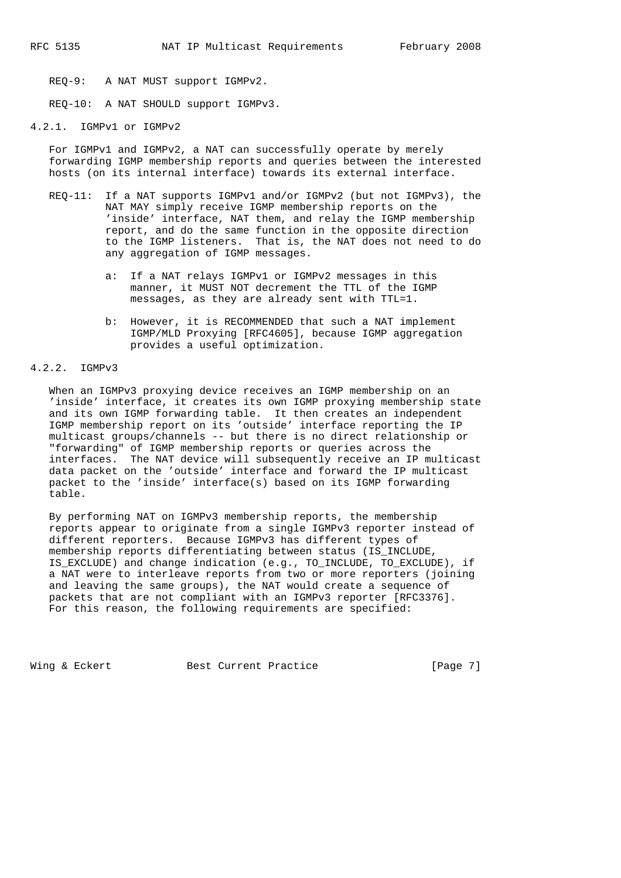REQ-9: A NAT MUST support IGMPv2.

REQ-10: A NAT SHOULD support IGMPv3.

# 4.2.1. IGMPv1 or IGMPv2

 For IGMPv1 and IGMPv2, a NAT can successfully operate by merely forwarding IGMP membership reports and queries between the interested hosts (on its internal interface) towards its external interface.

- REQ-11: If a NAT supports IGMPv1 and/or IGMPv2 (but not IGMPv3), the NAT MAY simply receive IGMP membership reports on the 'inside' interface, NAT them, and relay the IGMP membership report, and do the same function in the opposite direction to the IGMP listeners. That is, the NAT does not need to do any aggregation of IGMP messages.
	- a: If a NAT relays IGMPv1 or IGMPv2 messages in this manner, it MUST NOT decrement the TTL of the IGMP messages, as they are already sent with TTL=1.
	- b: However, it is RECOMMENDED that such a NAT implement IGMP/MLD Proxying [RFC4605], because IGMP aggregation provides a useful optimization.

# 4.2.2. IGMPv3

 When an IGMPv3 proxying device receives an IGMP membership on an 'inside' interface, it creates its own IGMP proxying membership state and its own IGMP forwarding table. It then creates an independent IGMP membership report on its 'outside' interface reporting the IP multicast groups/channels -- but there is no direct relationship or "forwarding" of IGMP membership reports or queries across the interfaces. The NAT device will subsequently receive an IP multicast data packet on the 'outside' interface and forward the IP multicast packet to the 'inside' interface(s) based on its IGMP forwarding table.

 By performing NAT on IGMPv3 membership reports, the membership reports appear to originate from a single IGMPv3 reporter instead of different reporters. Because IGMPv3 has different types of membership reports differentiating between status (IS\_INCLUDE, IS\_EXCLUDE) and change indication (e.g., TO\_INCLUDE, TO\_EXCLUDE), if a NAT were to interleave reports from two or more reporters (joining and leaving the same groups), the NAT would create a sequence of packets that are not compliant with an IGMPv3 reporter [RFC3376]. For this reason, the following requirements are specified:

Wing & Eckert **Best Current Practice** [Page 7]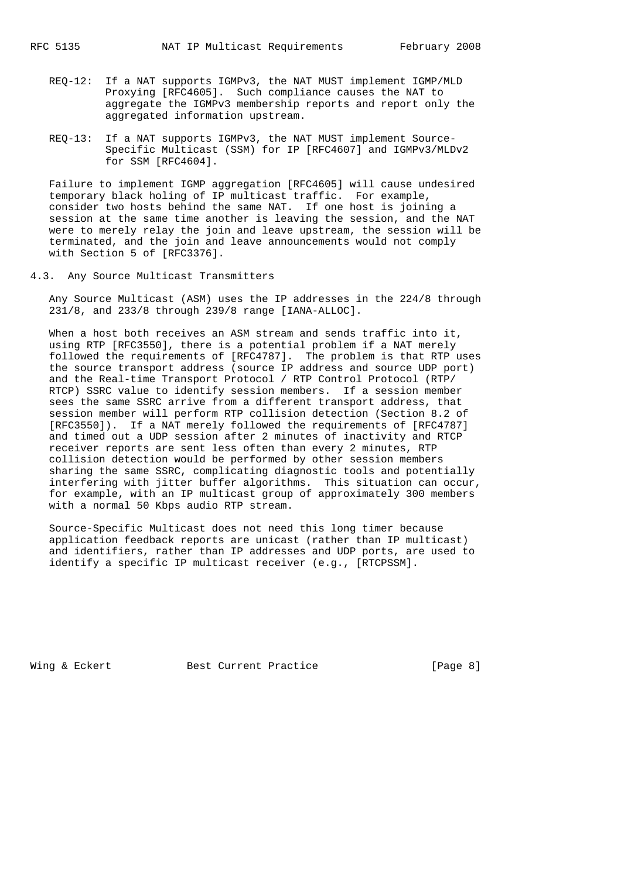- REQ-12: If a NAT supports IGMPv3, the NAT MUST implement IGMP/MLD Proxying [RFC4605]. Such compliance causes the NAT to aggregate the IGMPv3 membership reports and report only the aggregated information upstream.
- REQ-13: If a NAT supports IGMPv3, the NAT MUST implement Source- Specific Multicast (SSM) for IP [RFC4607] and IGMPv3/MLDv2 for SSM [RFC4604].

 Failure to implement IGMP aggregation [RFC4605] will cause undesired temporary black holing of IP multicast traffic. For example, consider two hosts behind the same NAT. If one host is joining a session at the same time another is leaving the session, and the NAT were to merely relay the join and leave upstream, the session will be terminated, and the join and leave announcements would not comply with Section 5 of [RFC3376].

4.3. Any Source Multicast Transmitters

 Any Source Multicast (ASM) uses the IP addresses in the 224/8 through 231/8, and 233/8 through 239/8 range [IANA-ALLOC].

 When a host both receives an ASM stream and sends traffic into it, using RTP [RFC3550], there is a potential problem if a NAT merely followed the requirements of [RFC4787]. The problem is that RTP uses the source transport address (source IP address and source UDP port) and the Real-time Transport Protocol / RTP Control Protocol (RTP/ RTCP) SSRC value to identify session members. If a session member sees the same SSRC arrive from a different transport address, that session member will perform RTP collision detection (Section 8.2 of [RFC3550]). If a NAT merely followed the requirements of [RFC4787] and timed out a UDP session after 2 minutes of inactivity and RTCP receiver reports are sent less often than every 2 minutes, RTP collision detection would be performed by other session members sharing the same SSRC, complicating diagnostic tools and potentially interfering with jitter buffer algorithms. This situation can occur, for example, with an IP multicast group of approximately 300 members with a normal 50 Kbps audio RTP stream.

 Source-Specific Multicast does not need this long timer because application feedback reports are unicast (rather than IP multicast) and identifiers, rather than IP addresses and UDP ports, are used to identify a specific IP multicast receiver (e.g., [RTCPSSM].

Wing & Eckert Best Current Practice [Page 8]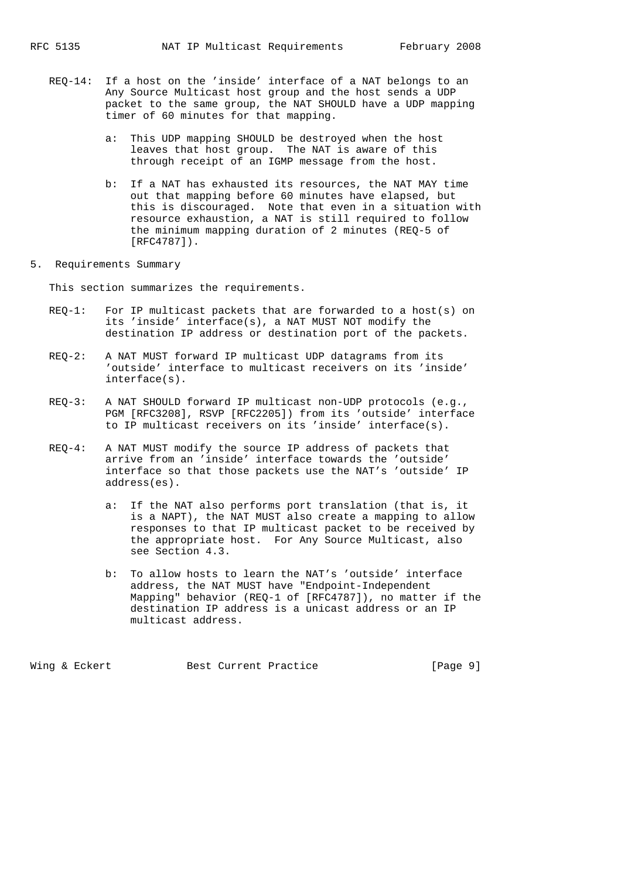- REQ-14: If a host on the 'inside' interface of a NAT belongs to an Any Source Multicast host group and the host sends a UDP packet to the same group, the NAT SHOULD have a UDP mapping timer of 60 minutes for that mapping.
	- a: This UDP mapping SHOULD be destroyed when the host leaves that host group. The NAT is aware of this through receipt of an IGMP message from the host.
	- b: If a NAT has exhausted its resources, the NAT MAY time out that mapping before 60 minutes have elapsed, but this is discouraged. Note that even in a situation with resource exhaustion, a NAT is still required to follow the minimum mapping duration of 2 minutes (REQ-5 of [RFC4787]).
- 5. Requirements Summary

This section summarizes the requirements.

- REQ-1: For IP multicast packets that are forwarded to a host(s) on its 'inside' interface(s), a NAT MUST NOT modify the destination IP address or destination port of the packets.
- REQ-2: A NAT MUST forward IP multicast UDP datagrams from its 'outside' interface to multicast receivers on its 'inside' interface(s).
- REQ-3: A NAT SHOULD forward IP multicast non-UDP protocols (e.g., PGM [RFC3208], RSVP [RFC2205]) from its 'outside' interface to IP multicast receivers on its 'inside' interface(s).
- REQ-4: A NAT MUST modify the source IP address of packets that arrive from an 'inside' interface towards the 'outside' interface so that those packets use the NAT's 'outside' IP address(es).
	- a: If the NAT also performs port translation (that is, it is a NAPT), the NAT MUST also create a mapping to allow responses to that IP multicast packet to be received by the appropriate host. For Any Source Multicast, also see Section 4.3.
	- b: To allow hosts to learn the NAT's 'outside' interface address, the NAT MUST have "Endpoint-Independent Mapping" behavior (REQ-1 of [RFC4787]), no matter if the destination IP address is a unicast address or an IP multicast address.

Wing & Eckert **Best Current Practice** [Page 9]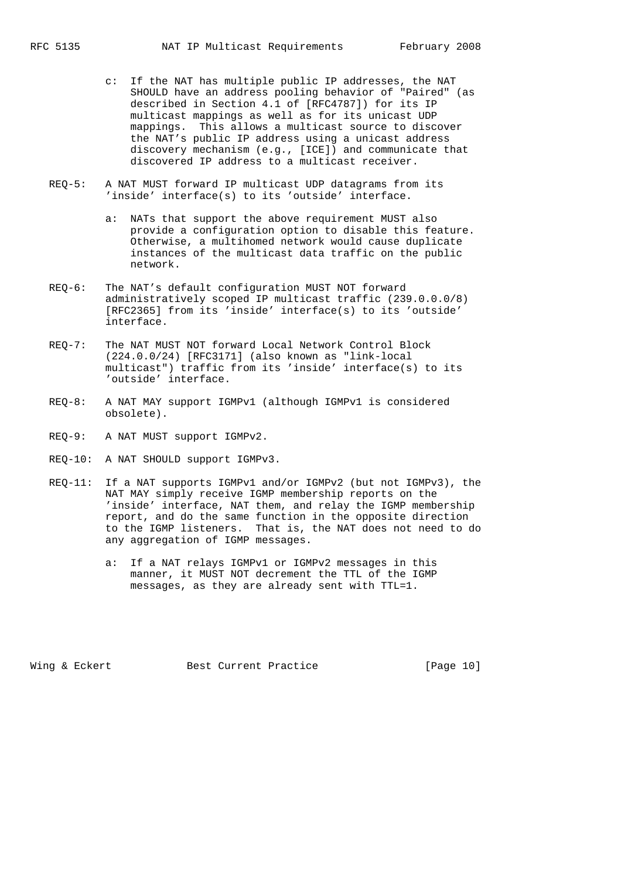- c: If the NAT has multiple public IP addresses, the NAT SHOULD have an address pooling behavior of "Paired" (as described in Section 4.1 of [RFC4787]) for its IP multicast mappings as well as for its unicast UDP mappings. This allows a multicast source to discover the NAT's public IP address using a unicast address discovery mechanism (e.g., [ICE]) and communicate that discovered IP address to a multicast receiver.
- REQ-5: A NAT MUST forward IP multicast UDP datagrams from its 'inside' interface(s) to its 'outside' interface.
	- a: NATs that support the above requirement MUST also provide a configuration option to disable this feature. Otherwise, a multihomed network would cause duplicate instances of the multicast data traffic on the public network.
- REQ-6: The NAT's default configuration MUST NOT forward administratively scoped IP multicast traffic (239.0.0.0/8) [RFC2365] from its 'inside' interface(s) to its 'outside' interface.
- REQ-7: The NAT MUST NOT forward Local Network Control Block (224.0.0/24) [RFC3171] (also known as "link-local multicast") traffic from its 'inside' interface(s) to its 'outside' interface.
- REQ-8: A NAT MAY support IGMPv1 (although IGMPv1 is considered obsolete).
- REQ-9: A NAT MUST support IGMPv2.
- REQ-10: A NAT SHOULD support IGMPv3.
- REQ-11: If a NAT supports IGMPv1 and/or IGMPv2 (but not IGMPv3), the NAT MAY simply receive IGMP membership reports on the 'inside' interface, NAT them, and relay the IGMP membership report, and do the same function in the opposite direction to the IGMP listeners. That is, the NAT does not need to do any aggregation of IGMP messages.
	- a: If a NAT relays IGMPv1 or IGMPv2 messages in this manner, it MUST NOT decrement the TTL of the IGMP messages, as they are already sent with TTL=1.

Wing & Eckert **Best Current Practice** [Page 10]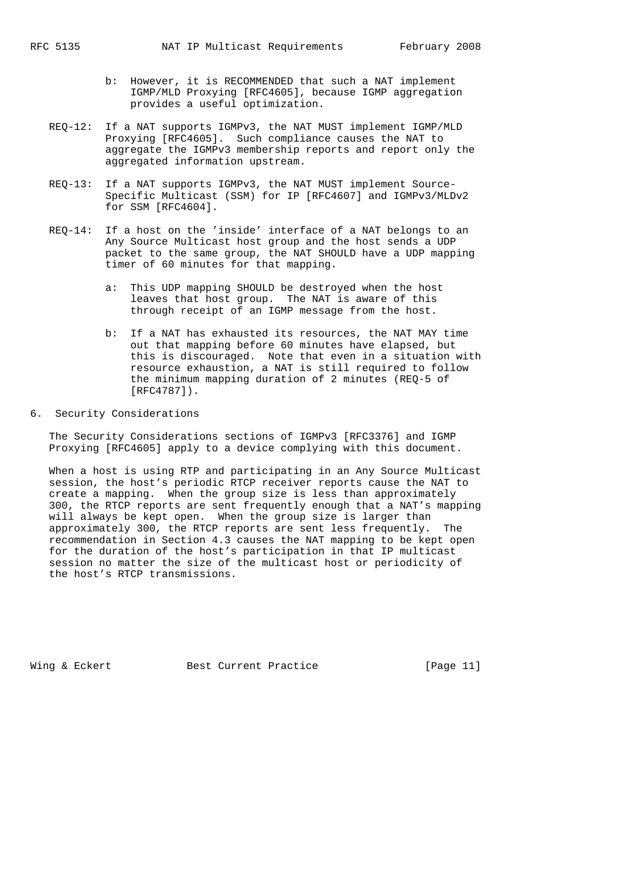- b: However, it is RECOMMENDED that such a NAT implement IGMP/MLD Proxying [RFC4605], because IGMP aggregation provides a useful optimization.
- REQ-12: If a NAT supports IGMPv3, the NAT MUST implement IGMP/MLD Proxying [RFC4605]. Such compliance causes the NAT to aggregate the IGMPv3 membership reports and report only the aggregated information upstream.
- REQ-13: If a NAT supports IGMPv3, the NAT MUST implement Source- Specific Multicast (SSM) for IP [RFC4607] and IGMPv3/MLDv2 for SSM [RFC4604].
- REQ-14: If a host on the 'inside' interface of a NAT belongs to an Any Source Multicast host group and the host sends a UDP packet to the same group, the NAT SHOULD have a UDP mapping timer of 60 minutes for that mapping.
	- a: This UDP mapping SHOULD be destroyed when the host leaves that host group. The NAT is aware of this through receipt of an IGMP message from the host.
- b: If a NAT has exhausted its resources, the NAT MAY time out that mapping before 60 minutes have elapsed, but this is discouraged. Note that even in a situation with resource exhaustion, a NAT is still required to follow the minimum mapping duration of 2 minutes (REQ-5 of [RFC4787]).

# 6. Security Considerations

 The Security Considerations sections of IGMPv3 [RFC3376] and IGMP Proxying [RFC4605] apply to a device complying with this document.

 When a host is using RTP and participating in an Any Source Multicast session, the host's periodic RTCP receiver reports cause the NAT to create a mapping. When the group size is less than approximately 300, the RTCP reports are sent frequently enough that a NAT's mapping will always be kept open. When the group size is larger than approximately 300, the RTCP reports are sent less frequently. The recommendation in Section 4.3 causes the NAT mapping to be kept open for the duration of the host's participation in that IP multicast session no matter the size of the multicast host or periodicity of the host's RTCP transmissions.

Wing & Eckert **Best Current Practice** [Page 11]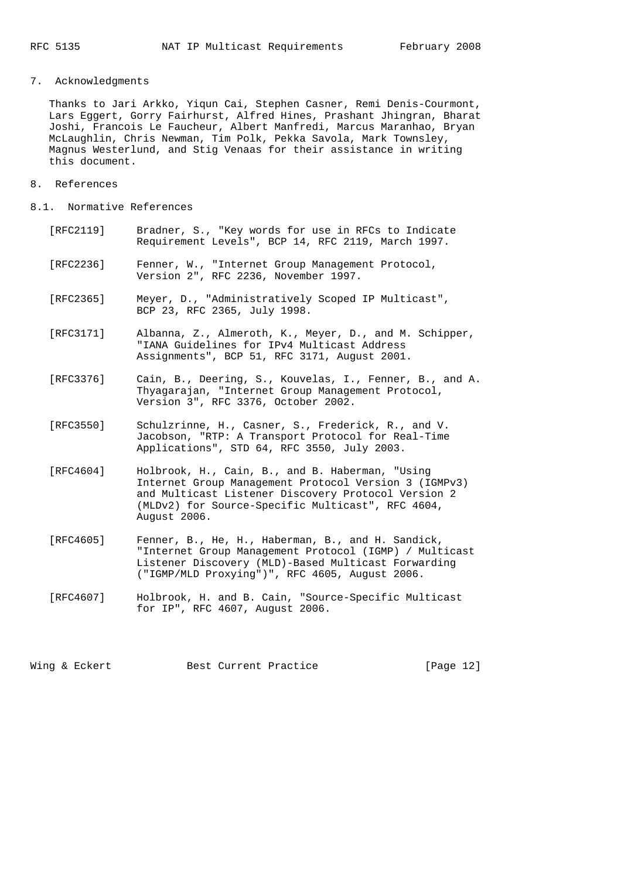7. Acknowledgments

 Thanks to Jari Arkko, Yiqun Cai, Stephen Casner, Remi Denis-Courmont, Lars Eggert, Gorry Fairhurst, Alfred Hines, Prashant Jhingran, Bharat Joshi, Francois Le Faucheur, Albert Manfredi, Marcus Maranhao, Bryan McLaughlin, Chris Newman, Tim Polk, Pekka Savola, Mark Townsley, Magnus Westerlund, and Stig Venaas for their assistance in writing this document.

- 8. References
- 8.1. Normative References
	- [RFC2119] Bradner, S., "Key words for use in RFCs to Indicate Requirement Levels", BCP 14, RFC 2119, March 1997.
	- [RFC2236] Fenner, W., "Internet Group Management Protocol, Version 2", RFC 2236, November 1997.
	- [RFC2365] Meyer, D., "Administratively Scoped IP Multicast", BCP 23, RFC 2365, July 1998.
	- [RFC3171] Albanna, Z., Almeroth, K., Meyer, D., and M. Schipper, "IANA Guidelines for IPv4 Multicast Address Assignments", BCP 51, RFC 3171, August 2001.
	- [RFC3376] Cain, B., Deering, S., Kouvelas, I., Fenner, B., and A. Thyagarajan, "Internet Group Management Protocol, Version 3", RFC 3376, October 2002.
	- [RFC3550] Schulzrinne, H., Casner, S., Frederick, R., and V. Jacobson, "RTP: A Transport Protocol for Real-Time Applications", STD 64, RFC 3550, July 2003.
	- [RFC4604] Holbrook, H., Cain, B., and B. Haberman, "Using Internet Group Management Protocol Version 3 (IGMPv3) and Multicast Listener Discovery Protocol Version 2 (MLDv2) for Source-Specific Multicast", RFC 4604, August 2006.
	- [RFC4605] Fenner, B., He, H., Haberman, B., and H. Sandick, "Internet Group Management Protocol (IGMP) / Multicast Listener Discovery (MLD)-Based Multicast Forwarding ("IGMP/MLD Proxying")", RFC 4605, August 2006.
	- [RFC4607] Holbrook, H. and B. Cain, "Source-Specific Multicast for IP", RFC 4607, August 2006.

Wing & Eckert **Best Current Practice** [Page 12]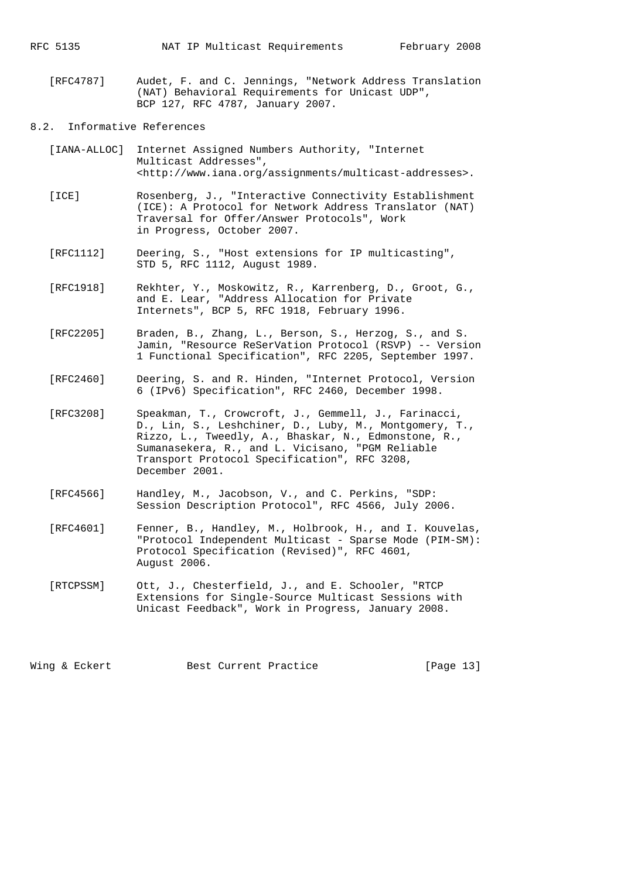[RFC4787] Audet, F. and C. Jennings, "Network Address Translation (NAT) Behavioral Requirements for Unicast UDP", BCP 127, RFC 4787, January 2007.

### 8.2. Informative References

- [IANA-ALLOC] Internet Assigned Numbers Authority, "Internet Multicast Addresses", <http://www.iana.org/assignments/multicast-addresses>.
- [ICE] Rosenberg, J., "Interactive Connectivity Establishment (ICE): A Protocol for Network Address Translator (NAT) Traversal for Offer/Answer Protocols", Work in Progress, October 2007.
- [RFC1112] Deering, S., "Host extensions for IP multicasting", STD 5, RFC 1112, August 1989.
- [RFC1918] Rekhter, Y., Moskowitz, R., Karrenberg, D., Groot, G., and E. Lear, "Address Allocation for Private Internets", BCP 5, RFC 1918, February 1996.
- [RFC2205] Braden, B., Zhang, L., Berson, S., Herzog, S., and S. Jamin, "Resource ReSerVation Protocol (RSVP) -- Version 1 Functional Specification", RFC 2205, September 1997.
- [RFC2460] Deering, S. and R. Hinden, "Internet Protocol, Version 6 (IPv6) Specification", RFC 2460, December 1998.
- [RFC3208] Speakman, T., Crowcroft, J., Gemmell, J., Farinacci, D., Lin, S., Leshchiner, D., Luby, M., Montgomery, T., Rizzo, L., Tweedly, A., Bhaskar, N., Edmonstone, R., Sumanasekera, R., and L. Vicisano, "PGM Reliable Transport Protocol Specification", RFC 3208, December 2001.
- [RFC4566] Handley, M., Jacobson, V., and C. Perkins, "SDP: Session Description Protocol", RFC 4566, July 2006.
- [RFC4601] Fenner, B., Handley, M., Holbrook, H., and I. Kouvelas, "Protocol Independent Multicast - Sparse Mode (PIM-SM): Protocol Specification (Revised)", RFC 4601, August 2006.
- [RTCPSSM] Ott, J., Chesterfield, J., and E. Schooler, "RTCP Extensions for Single-Source Multicast Sessions with Unicast Feedback", Work in Progress, January 2008.

Wing & Eckert **Best Current Practice** [Page 13]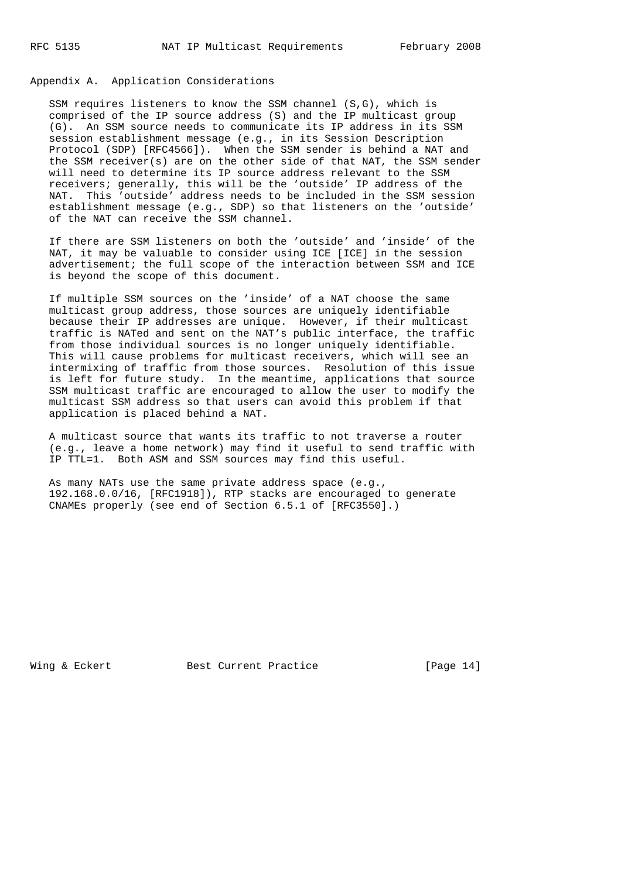### Appendix A. Application Considerations

 SSM requires listeners to know the SSM channel (S,G), which is comprised of the IP source address (S) and the IP multicast group (G). An SSM source needs to communicate its IP address in its SSM session establishment message (e.g., in its Session Description Protocol (SDP) [RFC4566]). When the SSM sender is behind a NAT and the SSM receiver(s) are on the other side of that NAT, the SSM sender will need to determine its IP source address relevant to the SSM receivers; generally, this will be the 'outside' IP address of the NAT. This 'outside' address needs to be included in the SSM session establishment message (e.g., SDP) so that listeners on the 'outside' of the NAT can receive the SSM channel.

 If there are SSM listeners on both the 'outside' and 'inside' of the NAT, it may be valuable to consider using ICE [ICE] in the session advertisement; the full scope of the interaction between SSM and ICE is beyond the scope of this document.

 If multiple SSM sources on the 'inside' of a NAT choose the same multicast group address, those sources are uniquely identifiable because their IP addresses are unique. However, if their multicast traffic is NATed and sent on the NAT's public interface, the traffic from those individual sources is no longer uniquely identifiable. This will cause problems for multicast receivers, which will see an intermixing of traffic from those sources. Resolution of this issue is left for future study. In the meantime, applications that source SSM multicast traffic are encouraged to allow the user to modify the multicast SSM address so that users can avoid this problem if that application is placed behind a NAT.

 A multicast source that wants its traffic to not traverse a router (e.g., leave a home network) may find it useful to send traffic with IP TTL=1. Both ASM and SSM sources may find this useful.

 As many NATs use the same private address space (e.g., 192.168.0.0/16, [RFC1918]), RTP stacks are encouraged to generate CNAMEs properly (see end of Section 6.5.1 of [RFC3550].)

Wing & Eckert **Best Current Practice** [Page 14]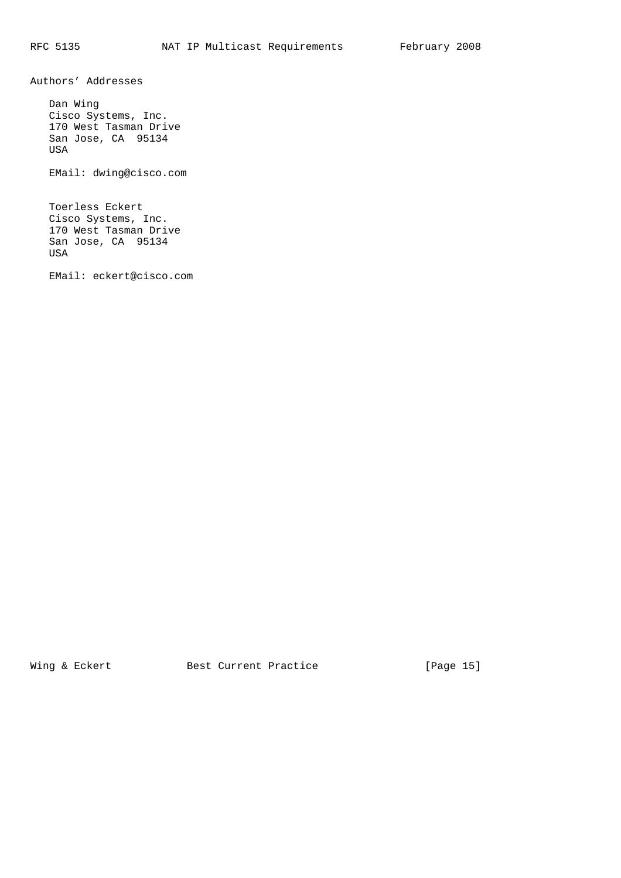Authors' Addresses

 Dan Wing Cisco Systems, Inc. 170 West Tasman Drive San Jose, CA 95134 USA EMail: dwing@cisco.com

 Toerless Eckert Cisco Systems, Inc. 170 West Tasman Drive San Jose, CA 95134 USA

EMail: eckert@cisco.com

Wing & Eckert **Best Current Practice** [Page 15]